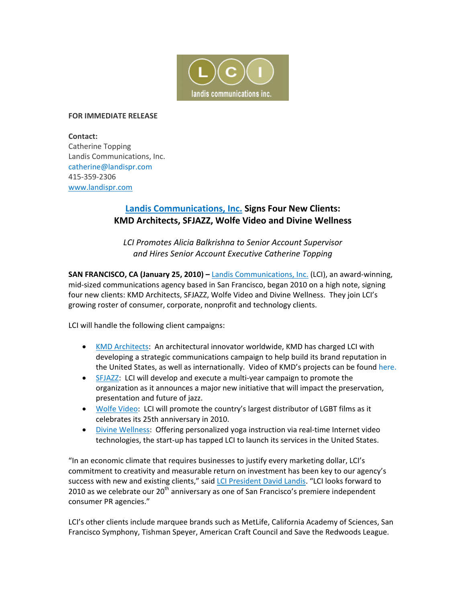

## **FOR IMMEDIATE RELEASE**

**Contact:**  Catherine Topping Landis Communications, Inc. catherine@landispr.com 415‐359‐2306 www.landispr.com

## **Landis Communications, Inc. Signs Four New Clients: KMD Architects, SFJAZZ, Wolfe Video and Divine Wellness**

*LCI Promotes Alicia Balkrishna to Senior Account Supervisor and Hires Senior Account Executive Catherine Topping* 

**SAN FRANCISCO, CA (January 25, 2010) –** Landis Communications, Inc. (LCI), an award‐winning, mid‐sized communications agency based in San Francisco, began 2010 on a high note, signing four new clients: KMD Architects, SFJAZZ, Wolfe Video and Divine Wellness. They join LCI's growing roster of consumer, corporate, nonprofit and technology clients.

LCI will handle the following client campaigns:

- KMD Architects: An architectural innovator worldwide, KMD has charged LCI with developing a strategic communications campaign to help build its brand reputation in the United States, as well as internationally. Video of KMD's projects can be found here.
- SFJAZZ: LCI will develop and execute a multi‐year campaign to promote the organization as it announces a major new initiative that will impact the preservation, presentation and future of jazz.
- Wolfe Video: LCI will promote the country's largest distributor of LGBT films as it celebrates its 25th anniversary in 2010.
- Divine Wellness: Offering personalized yoga instruction via real-time Internet video technologies, the start‐up has tapped LCI to launch its services in the United States.

"In an economic climate that requires businesses to justify every marketing dollar, LCI's commitment to creativity and measurable return on investment has been key to our agency's success with new and existing clients," said LCI President David Landis. "LCI looks forward to 2010 as we celebrate our 20<sup>th</sup> anniversary as one of San Francisco's premiere independent consumer PR agencies."

LCI's other clients include marquee brands such as MetLife, California Academy of Sciences, San Francisco Symphony, Tishman Speyer, American Craft Council and Save the Redwoods League.